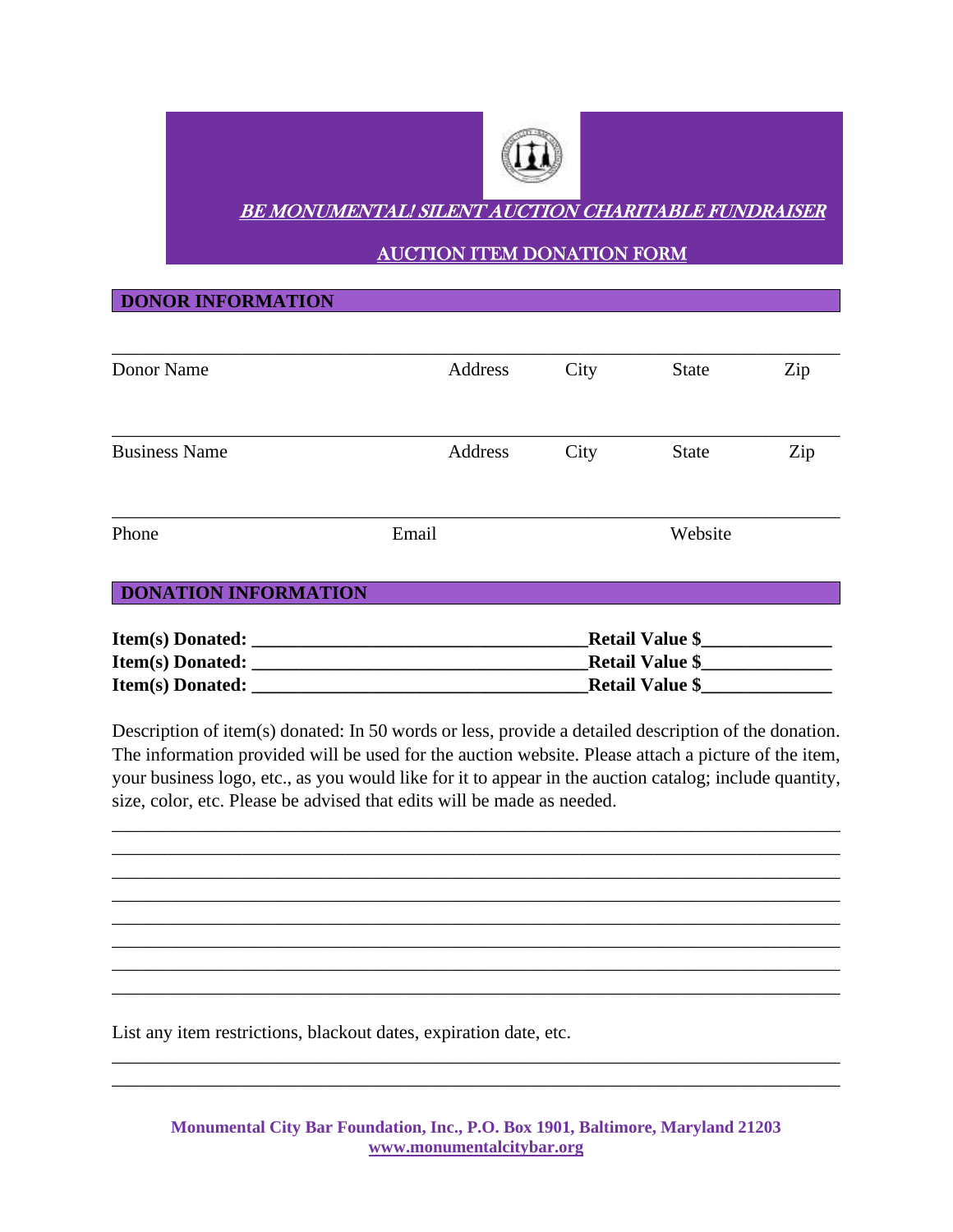

## **DONOR INFORMATION**

| Donor Name                  | Address | City                      | <b>State</b> | Zip |
|-----------------------------|---------|---------------------------|--------------|-----|
| <b>Business Name</b>        | Address | City                      | <b>State</b> | Zip |
| Phone                       | Email   | Website                   |              |     |
| <b>DONATION INFORMATION</b> |         |                           |              |     |
| <b>Item(s) Donated:</b>     |         | <b>Retail Value \$___</b> |              |     |
| Item(s) Donated:            |         | <b>Retail Value \$</b>    |              |     |
| <b>Item(s)</b> Donated:     |         | <b>Retail Value \$</b>    |              |     |

Description of item(s) donated: In 50 words or less, provide a detailed description of the donation. The information provided will be used for the auction website. Please attach a picture of the item, your business logo, etc., as you would like for it to appear in the auction catalog; include quantity, size, color, etc. Please be advised that edits will be made as needed.

\_\_\_\_\_\_\_\_\_\_\_\_\_\_\_\_\_\_\_\_\_\_\_\_\_\_\_\_\_\_\_\_\_\_\_\_\_\_\_\_\_\_\_\_\_\_\_\_\_\_\_\_\_\_\_\_\_\_\_\_\_\_\_\_\_\_\_\_\_\_\_\_\_\_\_\_\_\_ \_\_\_\_\_\_\_\_\_\_\_\_\_\_\_\_\_\_\_\_\_\_\_\_\_\_\_\_\_\_\_\_\_\_\_\_\_\_\_\_\_\_\_\_\_\_\_\_\_\_\_\_\_\_\_\_\_\_\_\_\_\_\_\_\_\_\_\_\_\_\_\_\_\_\_\_\_\_ \_\_\_\_\_\_\_\_\_\_\_\_\_\_\_\_\_\_\_\_\_\_\_\_\_\_\_\_\_\_\_\_\_\_\_\_\_\_\_\_\_\_\_\_\_\_\_\_\_\_\_\_\_\_\_\_\_\_\_\_\_\_\_\_\_\_\_\_\_\_\_\_\_\_\_\_\_\_ \_\_\_\_\_\_\_\_\_\_\_\_\_\_\_\_\_\_\_\_\_\_\_\_\_\_\_\_\_\_\_\_\_\_\_\_\_\_\_\_\_\_\_\_\_\_\_\_\_\_\_\_\_\_\_\_\_\_\_\_\_\_\_\_\_\_\_\_\_\_\_\_\_\_\_\_\_\_ \_\_\_\_\_\_\_\_\_\_\_\_\_\_\_\_\_\_\_\_\_\_\_\_\_\_\_\_\_\_\_\_\_\_\_\_\_\_\_\_\_\_\_\_\_\_\_\_\_\_\_\_\_\_\_\_\_\_\_\_\_\_\_\_\_\_\_\_\_\_\_\_\_\_\_\_\_\_ \_\_\_\_\_\_\_\_\_\_\_\_\_\_\_\_\_\_\_\_\_\_\_\_\_\_\_\_\_\_\_\_\_\_\_\_\_\_\_\_\_\_\_\_\_\_\_\_\_\_\_\_\_\_\_\_\_\_\_\_\_\_\_\_\_\_\_\_\_\_\_\_\_\_\_\_\_\_ \_\_\_\_\_\_\_\_\_\_\_\_\_\_\_\_\_\_\_\_\_\_\_\_\_\_\_\_\_\_\_\_\_\_\_\_\_\_\_\_\_\_\_\_\_\_\_\_\_\_\_\_\_\_\_\_\_\_\_\_\_\_\_\_\_\_\_\_\_\_\_\_\_\_\_\_\_\_ \_\_\_\_\_\_\_\_\_\_\_\_\_\_\_\_\_\_\_\_\_\_\_\_\_\_\_\_\_\_\_\_\_\_\_\_\_\_\_\_\_\_\_\_\_\_\_\_\_\_\_\_\_\_\_\_\_\_\_\_\_\_\_\_\_\_\_\_\_\_\_\_\_\_\_\_\_\_

List any item restrictions, blackout dates, expiration date, etc.

**Monumental City Bar Foundation, Inc., P.O. Box 1901, Baltimore, Maryland 21203 [www.monumentalcitybar.org](http://www.monumentalcitybar.org/)**

\_\_\_\_\_\_\_\_\_\_\_\_\_\_\_\_\_\_\_\_\_\_\_\_\_\_\_\_\_\_\_\_\_\_\_\_\_\_\_\_\_\_\_\_\_\_\_\_\_\_\_\_\_\_\_\_\_\_\_\_\_\_\_\_\_\_\_\_\_\_\_\_\_\_\_\_\_\_ \_\_\_\_\_\_\_\_\_\_\_\_\_\_\_\_\_\_\_\_\_\_\_\_\_\_\_\_\_\_\_\_\_\_\_\_\_\_\_\_\_\_\_\_\_\_\_\_\_\_\_\_\_\_\_\_\_\_\_\_\_\_\_\_\_\_\_\_\_\_\_\_\_\_\_\_\_\_